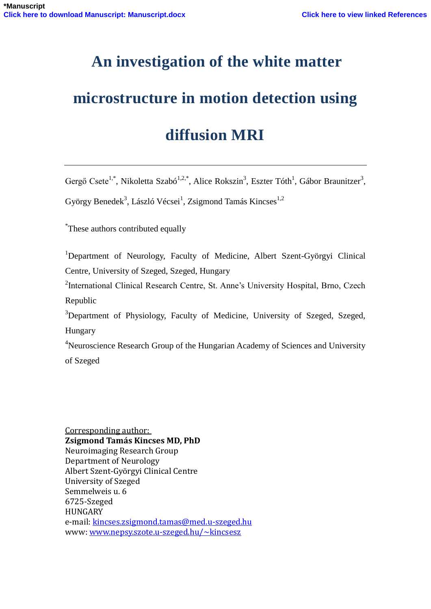# **An investigation of the white matter**

# **microstructure in motion detection using**

# **diffusion MRI**

Gergő Csete<sup>1,\*</sup>, Nikoletta Szabó<sup>1,2,\*</sup>, Alice Rokszin<sup>3</sup>, Eszter Tóth<sup>1</sup>, Gábor Braunitzer<sup>3</sup>,

György Benedek<sup>3</sup>, László Vécsei<sup>1</sup>, Zsigmond Tamás Kincses<sup>1,2</sup>

\* These authors contributed equally

<sup>1</sup>Department of Neurology, Faculty of Medicine, Albert Szent-Györgyi Clinical Centre, University of Szeged, Szeged, Hungary

<sup>2</sup>International Clinical Research Centre, St. Anne's University Hospital, Brno, Czech Republic

<sup>3</sup>Department of Physiology, Faculty of Medicine, University of Szeged, Szeged, Hungary

<sup>4</sup>Neuroscience Research Group of the Hungarian Academy of Sciences and University of Szeged

Corresponding author: **Zsigmond Tamás Kincses MD, PhD** Neuroimaging Research Group Department of Neurology Albert Szent-Györgyi Clinical Centre University of Szeged Semmelweis u. 6 6725-Szeged HUNGARY e-mail: kincses.zsigmond.tamas@med.u-szeged.hu www: www.nepsy.szote.u-szeged.hu/~kincsesz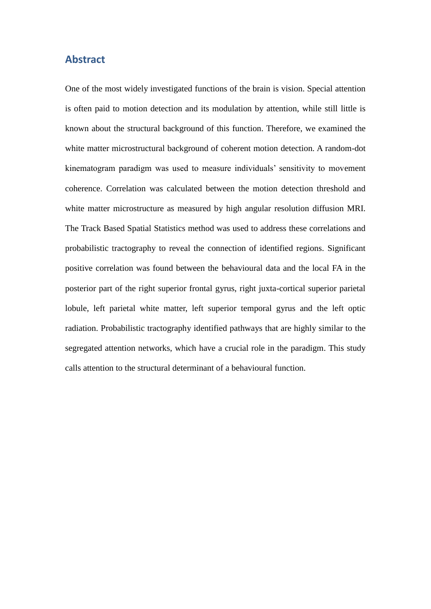### **Abstract**

One of the most widely investigated functions of the brain is vision. Special attention is often paid to motion detection and its modulation by attention, while still little is known about the structural background of this function. Therefore, we examined the white matter microstructural background of coherent motion detection. A random-dot kinematogram paradigm was used to measure individuals" sensitivity to movement coherence. Correlation was calculated between the motion detection threshold and white matter microstructure as measured by high angular resolution diffusion MRI. The Track Based Spatial Statistics method was used to address these correlations and probabilistic tractography to reveal the connection of identified regions. Significant positive correlation was found between the behavioural data and the local FA in the posterior part of the right superior frontal gyrus, right juxta-cortical superior parietal lobule, left parietal white matter, left superior temporal gyrus and the left optic radiation. Probabilistic tractography identified pathways that are highly similar to the segregated attention networks, which have a crucial role in the paradigm. This study calls attention to the structural determinant of a behavioural function.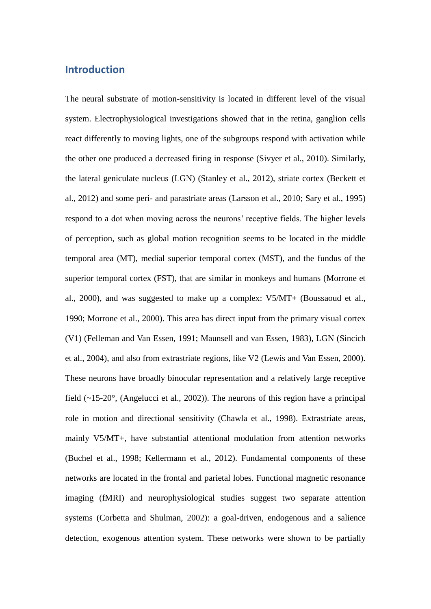## **Introduction**

The neural substrate of motion-sensitivity is located in different level of the visual system. Electrophysiological investigations showed that in the retina, ganglion cells react differently to moving lights, one of the subgroups respond with activation while the other one produced a decreased firing in response (Sivyer et al., 2010). Similarly, the lateral geniculate nucleus (LGN) (Stanley et al., 2012), striate cortex (Beckett et al., 2012) and some peri- and parastriate areas (Larsson et al., 2010; Sary et al., 1995) respond to a dot when moving across the neurons' receptive fields. The higher levels of perception, such as global motion recognition seems to be located in the middle temporal area (MT), medial superior temporal cortex (MST), and the fundus of the superior temporal cortex (FST), that are similar in monkeys and humans (Morrone et al., 2000), and was suggested to make up a complex: V5/MT+ (Boussaoud et al., 1990; Morrone et al., 2000). This area has direct input from the primary visual cortex (V1) (Felleman and Van Essen, 1991; Maunsell and van Essen, 1983), LGN (Sincich et al., 2004), and also from extrastriate regions, like V2 (Lewis and Van Essen, 2000). These neurons have broadly binocular representation and a relatively large receptive field (~15-20°, (Angelucci et al., 2002)). The neurons of this region have a principal role in motion and directional sensitivity (Chawla et al., 1998). Extrastriate areas, mainly V5/MT+, have substantial attentional modulation from attention networks (Buchel et al., 1998; Kellermann et al., 2012). Fundamental components of these networks are located in the frontal and parietal lobes. Functional magnetic resonance imaging (fMRI) and neurophysiological studies suggest two separate attention systems (Corbetta and Shulman, 2002): a goal-driven, endogenous and a salience detection, exogenous attention system. These networks were shown to be partially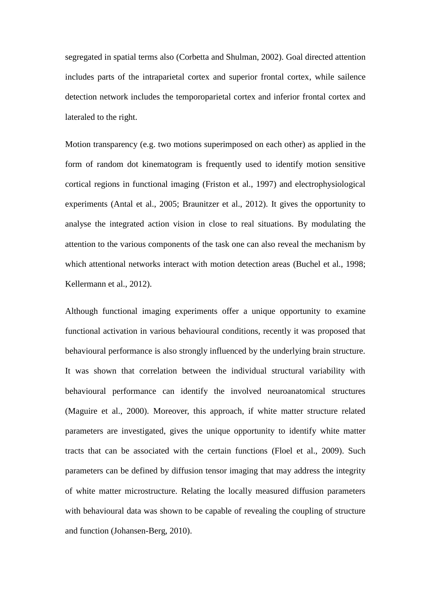segregated in spatial terms also (Corbetta and Shulman, 2002). Goal directed attention includes parts of the intraparietal cortex and superior frontal cortex, while sailence detection network includes the temporoparietal cortex and inferior frontal cortex and lateraled to the right.

Motion transparency (e.g. two motions superimposed on each other) as applied in the form of random dot kinematogram is frequently used to identify motion sensitive cortical regions in functional imaging (Friston et al., 1997) and electrophysiological experiments (Antal et al., 2005; Braunitzer et al., 2012). It gives the opportunity to analyse the integrated action vision in close to real situations. By modulating the attention to the various components of the task one can also reveal the mechanism by which attentional networks interact with motion detection areas (Buchel et al., 1998; Kellermann et al., 2012).

Although functional imaging experiments offer a unique opportunity to examine functional activation in various behavioural conditions, recently it was proposed that behavioural performance is also strongly influenced by the underlying brain structure. It was shown that correlation between the individual structural variability with behavioural performance can identify the involved neuroanatomical structures (Maguire et al., 2000). Moreover, this approach, if white matter structure related parameters are investigated, gives the unique opportunity to identify white matter tracts that can be associated with the certain functions (Floel et al., 2009). Such parameters can be defined by diffusion tensor imaging that may address the integrity of white matter microstructure. Relating the locally measured diffusion parameters with behavioural data was shown to be capable of revealing the coupling of structure and function (Johansen-Berg, 2010).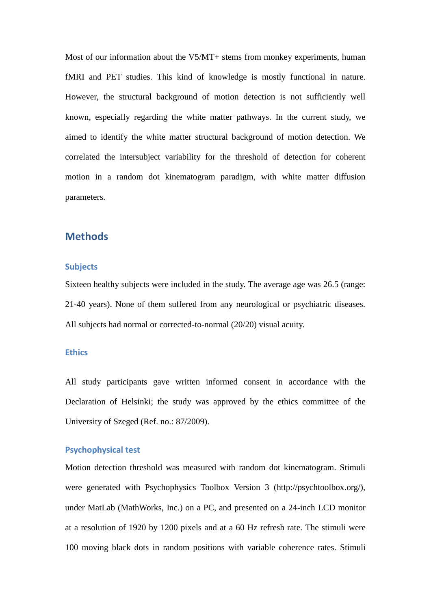Most of our information about the V5/MT+ stems from monkey experiments, human fMRI and PET studies. This kind of knowledge is mostly functional in nature. However, the structural background of motion detection is not sufficiently well known, especially regarding the white matter pathways. In the current study, we aimed to identify the white matter structural background of motion detection. We correlated the intersubject variability for the threshold of detection for coherent motion in a random dot kinematogram paradigm, with white matter diffusion parameters.

## **Methods**

#### **Subjects**

Sixteen healthy subjects were included in the study. The average age was 26.5 (range: 21-40 years). None of them suffered from any neurological or psychiatric diseases. All subjects had normal or corrected-to-normal (20/20) visual acuity.

## **Ethics**

All study participants gave written informed consent in accordance with the Declaration of Helsinki; the study was approved by the ethics committee of the University of Szeged (Ref. no.: 87/2009).

#### **Psychophysical test**

Motion detection threshold was measured with random dot kinematogram. Stimuli were generated with Psychophysics Toolbox Version 3 (http://psychtoolbox.org/), under MatLab (MathWorks, Inc.) on a PC, and presented on a 24-inch LCD monitor at a resolution of 1920 by 1200 pixels and at a 60 Hz refresh rate. The stimuli were 100 moving black dots in random positions with variable coherence rates. Stimuli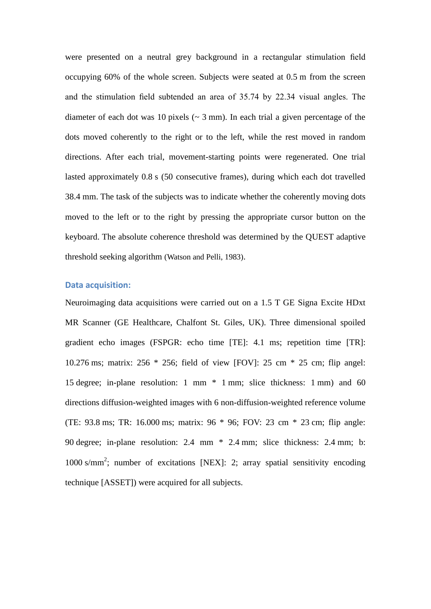were presented on a neutral grey background in a rectangular stimulation field occupying 60% of the whole screen. Subjects were seated at 0.5 m from the screen and the stimulation field subtended an area of 35.74 by 22.34 visual angles. The diameter of each dot was 10 pixels ( $\sim$  3 mm). In each trial a given percentage of the dots moved coherently to the right or to the left, while the rest moved in random directions. After each trial, movement-starting points were regenerated. One trial lasted approximately 0.8 s (50 consecutive frames), during which each dot travelled 38.4 mm. The task of the subjects was to indicate whether the coherently moving dots moved to the left or to the right by pressing the appropriate cursor button on the keyboard. The absolute coherence threshold was determined by the QUEST adaptive threshold seeking algorithm (Watson and Pelli, 1983).

### **Data acquisition:**

Neuroimaging data acquisitions were carried out on a 1.5 T GE Signa Excite HDxt MR Scanner (GE Healthcare, Chalfont St. Giles, UK). Three dimensional spoiled gradient echo images (FSPGR: echo time [TE]: 4.1 ms; repetition time [TR]: 10.276 ms; matrix: 256 \* 256; field of view [FOV]: 25 cm \* 25 cm; flip angel: 15 degree; in-plane resolution: 1 mm \* 1 mm; slice thickness: 1 mm) and 60 directions diffusion-weighted images with 6 non-diffusion-weighted reference volume (TE: 93.8 ms; TR: 16.000 ms; matrix: 96 \* 96; FOV: 23 cm \* 23 cm; flip angle: 90 degree; in-plane resolution: 2.4 mm \* 2.4 mm; slice thickness: 2.4 mm; b: 1000 s/mm 2 ; number of excitations [NEX]: 2; array spatial sensitivity encoding technique [ASSET]) were acquired for all subjects.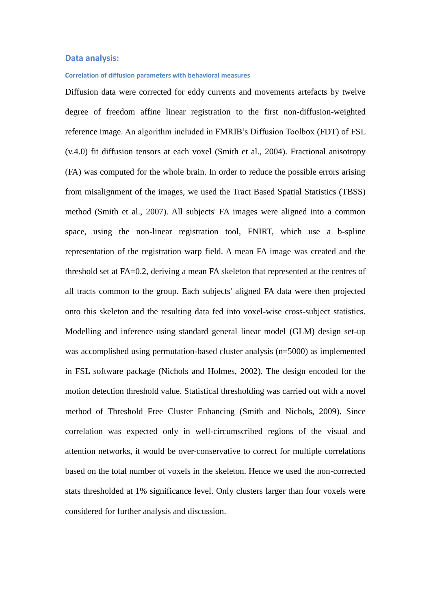#### **Data analysis:**

#### **Correlation of diffusion parameters with behavioral measures**

Diffusion data were corrected for eddy currents and movements artefacts by twelve degree of freedom affine linear registration to the first non-diffusion-weighted reference image. An algorithm included in FMRIB"s Diffusion Toolbox (FDT) of FSL (v.4.0) fit diffusion tensors at each voxel (Smith et al., 2004). Fractional anisotropy (FA) was computed for the whole brain. In order to reduce the possible errors arising from misalignment of the images, we used the Tract Based Spatial Statistics (TBSS) method (Smith et al., 2007). All subjects' FA images were aligned into a common space, using the non-linear registration tool, FNIRT, which use a b-spline representation of the registration warp field. A mean FA image was created and the threshold set at FA=0.2, deriving a mean FA skeleton that represented at the centres of all tracts common to the group. Each subjects' aligned FA data were then projected onto this skeleton and the resulting data fed into voxel-wise cross-subject statistics. Modelling and inference using standard general linear model (GLM) design set-up was accomplished using permutation-based cluster analysis (n=5000) as implemented in FSL software package (Nichols and Holmes, 2002). The design encoded for the motion detection threshold value. Statistical thresholding was carried out with a novel method of Threshold Free Cluster Enhancing (Smith and Nichols, 2009). Since correlation was expected only in well-circumscribed regions of the visual and attention networks, it would be over-conservative to correct for multiple correlations based on the total number of voxels in the skeleton. Hence we used the non-corrected stats thresholded at 1% significance level. Only clusters larger than four voxels were considered for further analysis and discussion.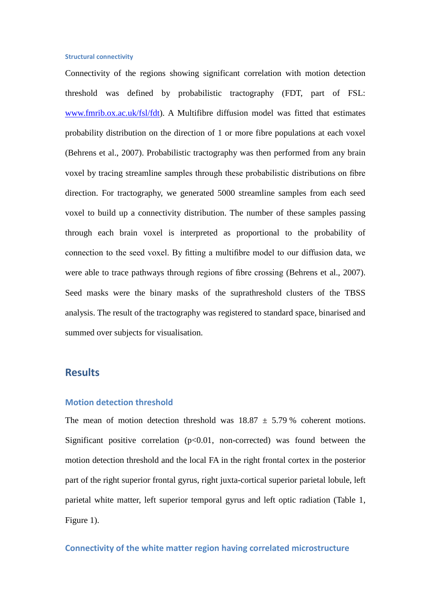#### **Structural connectivity**

Connectivity of the regions showing significant correlation with motion detection threshold was defined by probabilistic tractography (FDT, part of FSL: www.fmrib.ox.ac.uk/fsl/fdt). A Multifibre diffusion model was fitted that estimates probability distribution on the direction of 1 or more fibre populations at each voxel (Behrens et al., 2007). Probabilistic tractography was then performed from any brain voxel by tracing streamline samples through these probabilistic distributions on fibre direction. For tractography, we generated 5000 streamline samples from each seed voxel to build up a connectivity distribution. The number of these samples passing through each brain voxel is interpreted as proportional to the probability of connection to the seed voxel. By fitting a multifibre model to our diffusion data, we were able to trace pathways through regions of fibre crossing (Behrens et al., 2007). Seed masks were the binary masks of the suprathreshold clusters of the TBSS analysis. The result of the tractography was registered to standard space, binarised and summed over subjects for visualisation.

## **Results**

#### **Motion detection threshold**

The mean of motion detection threshold was  $18.87 \pm 5.79$  % coherent motions. Significant positive correlation  $(p<0.01,$  non-corrected) was found between the motion detection threshold and the local FA in the right frontal cortex in the posterior part of the right superior frontal gyrus, right juxta-cortical superior parietal lobule, left parietal white matter, left superior temporal gyrus and left optic radiation (Table 1, Figure 1).

#### **Connectivity of the white matter region having correlated microstructure**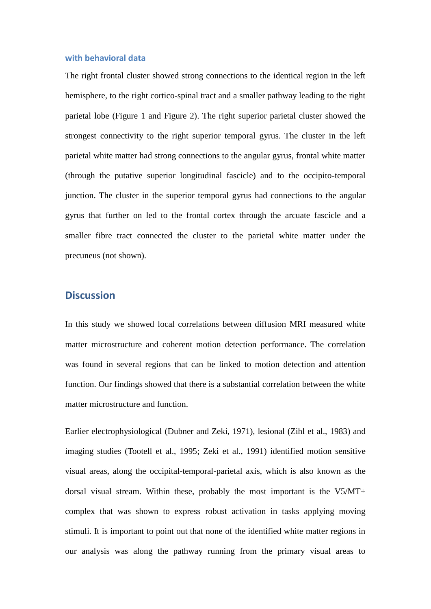#### **with behavioral data**

The right frontal cluster showed strong connections to the identical region in the left hemisphere, to the right cortico-spinal tract and a smaller pathway leading to the right parietal lobe (Figure 1 and Figure 2). The right superior parietal cluster showed the strongest connectivity to the right superior temporal gyrus. The cluster in the left parietal white matter had strong connections to the angular gyrus, frontal white matter (through the putative superior longitudinal fascicle) and to the occipito-temporal junction. The cluster in the superior temporal gyrus had connections to the angular gyrus that further on led to the frontal cortex through the arcuate fascicle and a smaller fibre tract connected the cluster to the parietal white matter under the precuneus (not shown).

## **Discussion**

In this study we showed local correlations between diffusion MRI measured white matter microstructure and coherent motion detection performance. The correlation was found in several regions that can be linked to motion detection and attention function. Our findings showed that there is a substantial correlation between the white matter microstructure and function.

Earlier electrophysiological (Dubner and Zeki, 1971), lesional (Zihl et al., 1983) and imaging studies (Tootell et al., 1995; Zeki et al., 1991) identified motion sensitive visual areas, along the occipital-temporal-parietal axis, which is also known as the dorsal visual stream. Within these, probably the most important is the V5/MT+ complex that was shown to express robust activation in tasks applying moving stimuli. It is important to point out that none of the identified white matter regions in our analysis was along the pathway running from the primary visual areas to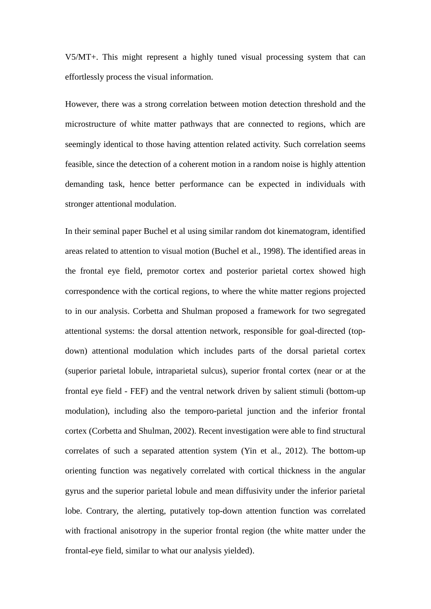V5/MT+. This might represent a highly tuned visual processing system that can effortlessly process the visual information.

However, there was a strong correlation between motion detection threshold and the microstructure of white matter pathways that are connected to regions, which are seemingly identical to those having attention related activity. Such correlation seems feasible, since the detection of a coherent motion in a random noise is highly attention demanding task, hence better performance can be expected in individuals with stronger attentional modulation.

In their seminal paper Buchel et al using similar random dot kinematogram, identified areas related to attention to visual motion (Buchel et al., 1998). The identified areas in the frontal eye field, premotor cortex and posterior parietal cortex showed high correspondence with the cortical regions, to where the white matter regions projected to in our analysis. Corbetta and Shulman proposed a framework for two segregated attentional systems: the dorsal attention network, responsible for goal-directed (topdown) attentional modulation which includes parts of the dorsal parietal cortex (superior parietal lobule, intraparietal sulcus), superior frontal cortex (near or at the frontal eye field - FEF) and the ventral network driven by salient stimuli (bottom-up modulation), including also the temporo-parietal junction and the inferior frontal cortex (Corbetta and Shulman, 2002). Recent investigation were able to find structural correlates of such a separated attention system (Yin et al., 2012). The bottom-up orienting function was negatively correlated with cortical thickness in the angular gyrus and the superior parietal lobule and mean diffusivity under the inferior parietal lobe. Contrary, the alerting, putatively top-down attention function was correlated with fractional anisotropy in the superior frontal region (the white matter under the frontal-eye field, similar to what our analysis yielded).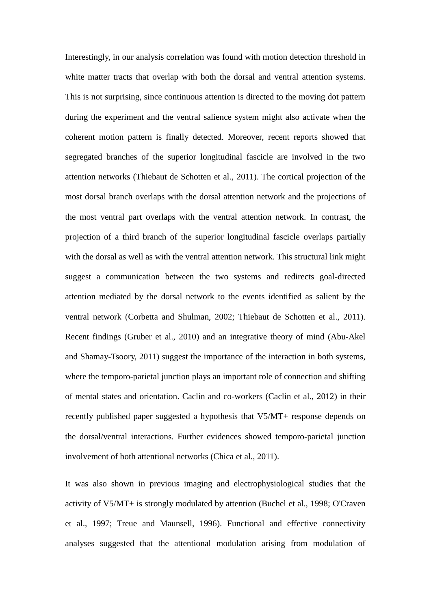Interestingly, in our analysis correlation was found with motion detection threshold in white matter tracts that overlap with both the dorsal and ventral attention systems. This is not surprising, since continuous attention is directed to the moving dot pattern during the experiment and the ventral salience system might also activate when the coherent motion pattern is finally detected. Moreover, recent reports showed that segregated branches of the superior longitudinal fascicle are involved in the two attention networks (Thiebaut de Schotten et al., 2011). The cortical projection of the most dorsal branch overlaps with the dorsal attention network and the projections of the most ventral part overlaps with the ventral attention network. In contrast, the projection of a third branch of the superior longitudinal fascicle overlaps partially with the dorsal as well as with the ventral attention network. This structural link might suggest a communication between the two systems and redirects goal-directed attention mediated by the dorsal network to the events identified as salient by the ventral network (Corbetta and Shulman, 2002; Thiebaut de Schotten et al., 2011). Recent findings (Gruber et al., 2010) and an integrative theory of mind (Abu-Akel and Shamay-Tsoory, 2011) suggest the importance of the interaction in both systems, where the temporo-parietal junction plays an important role of connection and shifting of mental states and orientation. Caclin and co-workers (Caclin et al., 2012) in their recently published paper suggested a hypothesis that V5/MT+ response depends on the dorsal/ventral interactions. Further evidences showed temporo-parietal junction involvement of both attentional networks (Chica et al., 2011).

It was also shown in previous imaging and electrophysiological studies that the activity of V5/MT+ is strongly modulated by attention (Buchel et al., 1998; O'Craven et al., 1997; Treue and Maunsell, 1996). Functional and effective connectivity analyses suggested that the attentional modulation arising from modulation of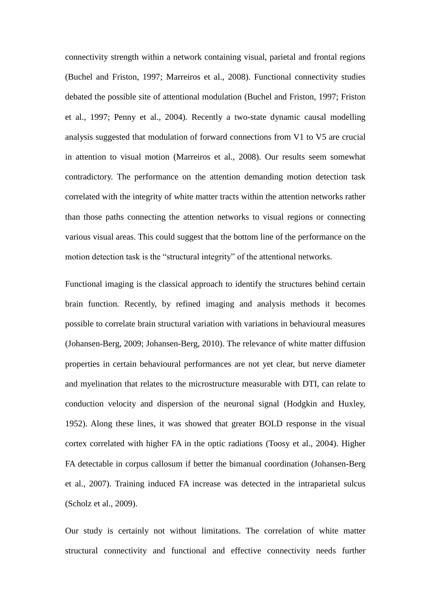connectivity strength within a network containing visual, parietal and frontal regions (Buchel and Friston, 1997; Marreiros et al., 2008). Functional connectivity studies debated the possible site of attentional modulation (Buchel and Friston, 1997; Friston et al., 1997; Penny et al., 2004). Recently a two-state dynamic causal modelling analysis suggested that modulation of forward connections from V1 to V5 are crucial in attention to visual motion (Marreiros et al., 2008). Our results seem somewhat contradictory. The performance on the attention demanding motion detection task correlated with the integrity of white matter tracts within the attention networks rather than those paths connecting the attention networks to visual regions or connecting various visual areas. This could suggest that the bottom line of the performance on the motion detection task is the "structural integrity" of the attentional networks.

Functional imaging is the classical approach to identify the structures behind certain brain function. Recently, by refined imaging and analysis methods it becomes possible to correlate brain structural variation with variations in behavioural measures (Johansen-Berg, 2009; Johansen-Berg, 2010). The relevance of white matter diffusion properties in certain behavioural performances are not yet clear, but nerve diameter and myelination that relates to the microstructure measurable with DTI, can relate to conduction velocity and dispersion of the neuronal signal (Hodgkin and Huxley, 1952). Along these lines, it was showed that greater BOLD response in the visual cortex correlated with higher FA in the optic radiations (Toosy et al., 2004). Higher FA detectable in corpus callosum if better the bimanual coordination (Johansen-Berg et al., 2007). Training induced FA increase was detected in the intraparietal sulcus (Scholz et al., 2009).

Our study is certainly not without limitations. The correlation of white matter structural connectivity and functional and effective connectivity needs further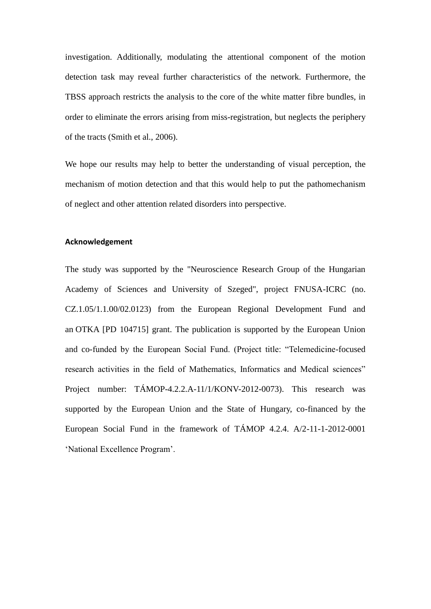investigation. Additionally, modulating the attentional component of the motion detection task may reveal further characteristics of the network. Furthermore, the TBSS approach restricts the analysis to the core of the white matter fibre bundles, in order to eliminate the errors arising from miss-registration, but neglects the periphery of the tracts (Smith et al., 2006).

We hope our results may help to better the understanding of visual perception, the mechanism of motion detection and that this would help to put the pathomechanism of neglect and other attention related disorders into perspective.

#### **Acknowledgement**

The study was supported by the "Neuroscience Research Group of the Hungarian Academy of Sciences and University of Szeged", project FNUSA-ICRC (no. CZ.1.05/1.1.00/02.0123) from the European Regional Development Fund and an OTKA [PD 104715] grant. The publication is supported by the European Union and co-funded by the European Social Fund. (Project title: "Telemedicine-focused research activities in the field of Mathematics, Informatics and Medical sciences" Project number: TÁMOP-4.2.2.A-11/1/KONV-2012-0073). This research was supported by the European Union and the State of Hungary, co-financed by the European Social Fund in the framework of TÁMOP 4.2.4. A/2-11-1-2012-0001 'National Excellence Program'.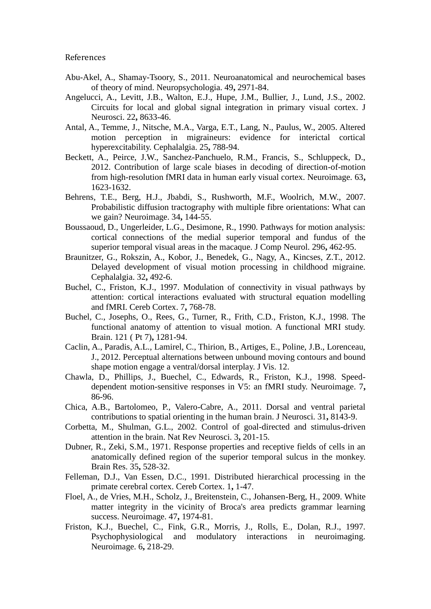References

- Abu-Akel, A., Shamay-Tsoory, S., 2011. Neuroanatomical and neurochemical bases of theory of mind. Neuropsychologia. 49**,** 2971-84.
- Angelucci, A., Levitt, J.B., Walton, E.J., Hupe, J.M., Bullier, J., Lund, J.S., 2002. Circuits for local and global signal integration in primary visual cortex. J Neurosci. 22**,** 8633-46.
- Antal, A., Temme, J., Nitsche, M.A., Varga, E.T., Lang, N., Paulus, W., 2005. Altered motion perception in migraineurs: evidence for interictal cortical hyperexcitability. Cephalalgia. 25**,** 788-94.
- Beckett, A., Peirce, J.W., Sanchez-Panchuelo, R.M., Francis, S., Schluppeck, D., 2012. Contribution of large scale biases in decoding of direction-of-motion from high-resolution fMRI data in human early visual cortex. Neuroimage. 63**,** 1623-1632.
- Behrens, T.E., Berg, H.J., Jbabdi, S., Rushworth, M.F., Woolrich, M.W., 2007. Probabilistic diffusion tractography with multiple fibre orientations: What can we gain? Neuroimage. 34**,** 144-55.
- Boussaoud, D., Ungerleider, L.G., Desimone, R., 1990. Pathways for motion analysis: cortical connections of the medial superior temporal and fundus of the superior temporal visual areas in the macaque. J Comp Neurol. 296**,** 462-95.
- Braunitzer, G., Rokszin, A., Kobor, J., Benedek, G., Nagy, A., Kincses, Z.T., 2012. Delayed development of visual motion processing in childhood migraine. Cephalalgia. 32**,** 492-6.
- Buchel, C., Friston, K.J., 1997. Modulation of connectivity in visual pathways by attention: cortical interactions evaluated with structural equation modelling and fMRI. Cereb Cortex. 7**,** 768-78.
- Buchel, C., Josephs, O., Rees, G., Turner, R., Frith, C.D., Friston, K.J., 1998. The functional anatomy of attention to visual motion. A functional MRI study. Brain. 121 ( Pt 7)**,** 1281-94.
- Caclin, A., Paradis, A.L., Lamirel, C., Thirion, B., Artiges, E., Poline, J.B., Lorenceau, J., 2012. Perceptual alternations between unbound moving contours and bound shape motion engage a ventral/dorsal interplay. J Vis. 12.
- Chawla, D., Phillips, J., Buechel, C., Edwards, R., Friston, K.J., 1998. Speeddependent motion-sensitive responses in V5: an fMRI study. Neuroimage. 7**,** 86-96.
- Chica, A.B., Bartolomeo, P., Valero-Cabre, A., 2011. Dorsal and ventral parietal contributions to spatial orienting in the human brain. J Neurosci. 31**,** 8143-9.
- Corbetta, M., Shulman, G.L., 2002. Control of goal-directed and stimulus-driven attention in the brain. Nat Rev Neurosci. 3**,** 201-15.
- Dubner, R., Zeki, S.M., 1971. Response properties and receptive fields of cells in an anatomically defined region of the superior temporal sulcus in the monkey. Brain Res. 35**,** 528-32.
- Felleman, D.J., Van Essen, D.C., 1991. Distributed hierarchical processing in the primate cerebral cortex. Cereb Cortex. 1**,** 1-47.
- Floel, A., de Vries, M.H., Scholz, J., Breitenstein, C., Johansen-Berg, H., 2009. White matter integrity in the vicinity of Broca's area predicts grammar learning success. Neuroimage. 47**,** 1974-81.
- Friston, K.J., Buechel, C., Fink, G.R., Morris, J., Rolls, E., Dolan, R.J., 1997. Psychophysiological and modulatory interactions in neuroimaging. Neuroimage. 6**,** 218-29.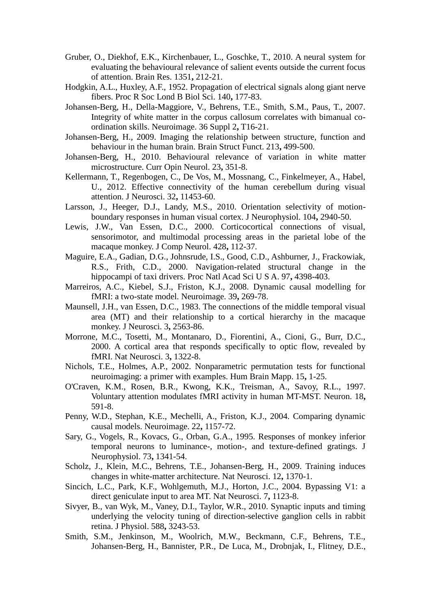- Gruber, O., Diekhof, E.K., Kirchenbauer, L., Goschke, T., 2010. A neural system for evaluating the behavioural relevance of salient events outside the current focus of attention. Brain Res. 1351**,** 212-21.
- Hodgkin, A.L., Huxley, A.F., 1952. Propagation of electrical signals along giant nerve fibers. Proc R Soc Lond B Biol Sci. 140**,** 177-83.
- Johansen-Berg, H., Della-Maggiore, V., Behrens, T.E., Smith, S.M., Paus, T., 2007. Integrity of white matter in the corpus callosum correlates with bimanual coordination skills. Neuroimage. 36 Suppl 2**,** T16-21.
- Johansen-Berg, H., 2009. Imaging the relationship between structure, function and behaviour in the human brain. Brain Struct Funct. 213**,** 499-500.
- Johansen-Berg, H., 2010. Behavioural relevance of variation in white matter microstructure. Curr Opin Neurol. 23**,** 351-8.
- Kellermann, T., Regenbogen, C., De Vos, M., Mossnang, C., Finkelmeyer, A., Habel, U., 2012. Effective connectivity of the human cerebellum during visual attention. J Neurosci. 32**,** 11453-60.
- Larsson, J., Heeger, D.J., Landy, M.S., 2010. Orientation selectivity of motionboundary responses in human visual cortex. J Neurophysiol. 104**,** 2940-50.
- Lewis, J.W., Van Essen, D.C., 2000. Corticocortical connections of visual, sensorimotor, and multimodal processing areas in the parietal lobe of the macaque monkey. J Comp Neurol. 428**,** 112-37.
- Maguire, E.A., Gadian, D.G., Johnsrude, I.S., Good, C.D., Ashburner, J., Frackowiak, R.S., Frith, C.D., 2000. Navigation-related structural change in the hippocampi of taxi drivers. Proc Natl Acad Sci U S A. 97**,** 4398-403.
- Marreiros, A.C., Kiebel, S.J., Friston, K.J., 2008. Dynamic causal modelling for fMRI: a two-state model. Neuroimage. 39**,** 269-78.
- Maunsell, J.H., van Essen, D.C., 1983. The connections of the middle temporal visual area (MT) and their relationship to a cortical hierarchy in the macaque monkey. J Neurosci. 3**,** 2563-86.
- Morrone, M.C., Tosetti, M., Montanaro, D., Fiorentini, A., Cioni, G., Burr, D.C., 2000. A cortical area that responds specifically to optic flow, revealed by fMRI. Nat Neurosci. 3**,** 1322-8.
- Nichols, T.E., Holmes, A.P., 2002. Nonparametric permutation tests for functional neuroimaging: a primer with examples. Hum Brain Mapp. 15**,** 1-25.
- O'Craven, K.M., Rosen, B.R., Kwong, K.K., Treisman, A., Savoy, R.L., 1997. Voluntary attention modulates fMRI activity in human MT-MST. Neuron. 18**,** 591-8.
- Penny, W.D., Stephan, K.E., Mechelli, A., Friston, K.J., 2004. Comparing dynamic causal models. Neuroimage. 22**,** 1157-72.
- Sary, G., Vogels, R., Kovacs, G., Orban, G.A., 1995. Responses of monkey inferior temporal neurons to luminance-, motion-, and texture-defined gratings. J Neurophysiol. 73**,** 1341-54.
- Scholz, J., Klein, M.C., Behrens, T.E., Johansen-Berg, H., 2009. Training induces changes in white-matter architecture. Nat Neurosci. 12**,** 1370-1.
- Sincich, L.C., Park, K.F., Wohlgemuth, M.J., Horton, J.C., 2004. Bypassing V1: a direct geniculate input to area MT. Nat Neurosci. 7**,** 1123-8.
- Sivyer, B., van Wyk, M., Vaney, D.I., Taylor, W.R., 2010. Synaptic inputs and timing underlying the velocity tuning of direction-selective ganglion cells in rabbit retina. J Physiol. 588**,** 3243-53.
- Smith, S.M., Jenkinson, M., Woolrich, M.W., Beckmann, C.F., Behrens, T.E., Johansen-Berg, H., Bannister, P.R., De Luca, M., Drobnjak, I., Flitney, D.E.,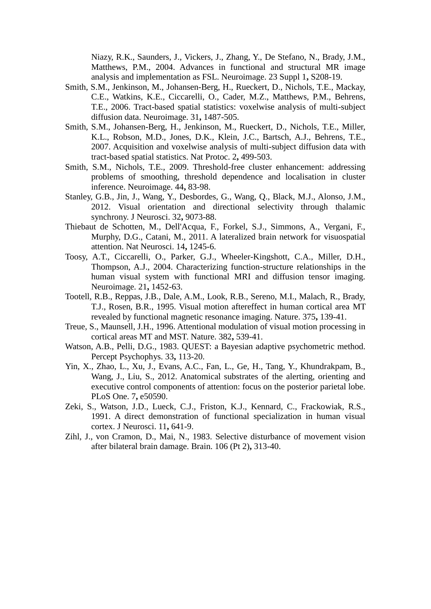Niazy, R.K., Saunders, J., Vickers, J., Zhang, Y., De Stefano, N., Brady, J.M., Matthews, P.M., 2004. Advances in functional and structural MR image analysis and implementation as FSL. Neuroimage. 23 Suppl 1**,** S208-19.

- Smith, S.M., Jenkinson, M., Johansen-Berg, H., Rueckert, D., Nichols, T.E., Mackay, C.E., Watkins, K.E., Ciccarelli, O., Cader, M.Z., Matthews, P.M., Behrens, T.E., 2006. Tract-based spatial statistics: voxelwise analysis of multi-subject diffusion data. Neuroimage. 31**,** 1487-505.
- Smith, S.M., Johansen-Berg, H., Jenkinson, M., Rueckert, D., Nichols, T.E., Miller, K.L., Robson, M.D., Jones, D.K., Klein, J.C., Bartsch, A.J., Behrens, T.E., 2007. Acquisition and voxelwise analysis of multi-subject diffusion data with tract-based spatial statistics. Nat Protoc. 2**,** 499-503.
- Smith, S.M., Nichols, T.E., 2009. Threshold-free cluster enhancement: addressing problems of smoothing, threshold dependence and localisation in cluster inference. Neuroimage. 44**,** 83-98.
- Stanley, G.B., Jin, J., Wang, Y., Desbordes, G., Wang, Q., Black, M.J., Alonso, J.M., 2012. Visual orientation and directional selectivity through thalamic synchrony. J Neurosci. 32**,** 9073-88.
- Thiebaut de Schotten, M., Dell'Acqua, F., Forkel, S.J., Simmons, A., Vergani, F., Murphy, D.G., Catani, M., 2011. A lateralized brain network for visuospatial attention. Nat Neurosci. 14**,** 1245-6.
- Toosy, A.T., Ciccarelli, O., Parker, G.J., Wheeler-Kingshott, C.A., Miller, D.H., Thompson, A.J., 2004. Characterizing function-structure relationships in the human visual system with functional MRI and diffusion tensor imaging. Neuroimage. 21**,** 1452-63.
- Tootell, R.B., Reppas, J.B., Dale, A.M., Look, R.B., Sereno, M.I., Malach, R., Brady, T.J., Rosen, B.R., 1995. Visual motion aftereffect in human cortical area MT revealed by functional magnetic resonance imaging. Nature. 375**,** 139-41.
- Treue, S., Maunsell, J.H., 1996. Attentional modulation of visual motion processing in cortical areas MT and MST. Nature. 382**,** 539-41.
- Watson, A.B., Pelli, D.G., 1983. QUEST: a Bayesian adaptive psychometric method. Percept Psychophys. 33**,** 113-20.
- Yin, X., Zhao, L., Xu, J., Evans, A.C., Fan, L., Ge, H., Tang, Y., Khundrakpam, B., Wang, J., Liu, S., 2012. Anatomical substrates of the alerting, orienting and executive control components of attention: focus on the posterior parietal lobe. PLoS One. 7**,** e50590.
- Zeki, S., Watson, J.D., Lueck, C.J., Friston, K.J., Kennard, C., Frackowiak, R.S., 1991. A direct demonstration of functional specialization in human visual cortex. J Neurosci. 11**,** 641-9.
- Zihl, J., von Cramon, D., Mai, N., 1983. Selective disturbance of movement vision after bilateral brain damage. Brain. 106 (Pt 2)**,** 313-40.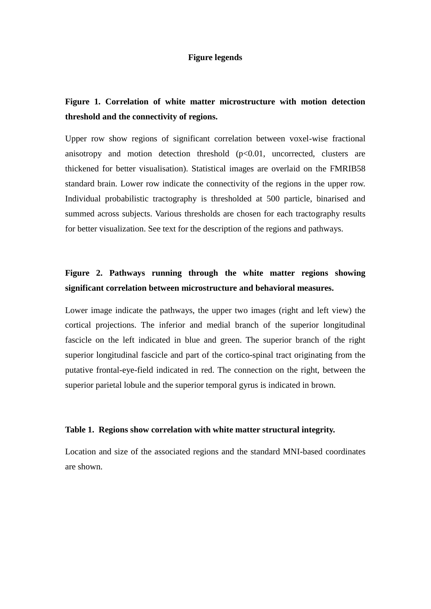#### **Figure legends**

## **Figure 1. Correlation of white matter microstructure with motion detection threshold and the connectivity of regions.**

Upper row show regions of significant correlation between voxel-wise fractional anisotropy and motion detection threshold  $(p<0.01$ , uncorrected, clusters are thickened for better visualisation). Statistical images are overlaid on the FMRIB58 standard brain. Lower row indicate the connectivity of the regions in the upper row. Individual probabilistic tractography is thresholded at 500 particle, binarised and summed across subjects. Various thresholds are chosen for each tractography results for better visualization. See text for the description of the regions and pathways.

## **Figure 2. Pathways running through the white matter regions showing significant correlation between microstructure and behavioral measures.**

Lower image indicate the pathways, the upper two images (right and left view) the cortical projections. The inferior and medial branch of the superior longitudinal fascicle on the left indicated in blue and green. The superior branch of the right superior longitudinal fascicle and part of the cortico-spinal tract originating from the putative frontal-eye-field indicated in red. The connection on the right, between the superior parietal lobule and the superior temporal gyrus is indicated in brown.

#### **Table 1. Regions show correlation with white matter structural integrity.**

Location and size of the associated regions and the standard MNI-based coordinates are shown.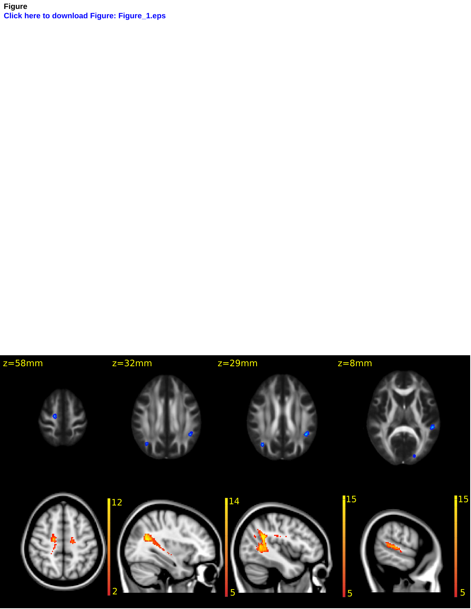**Figure Click here to download Figure: Figure\_1.eps**

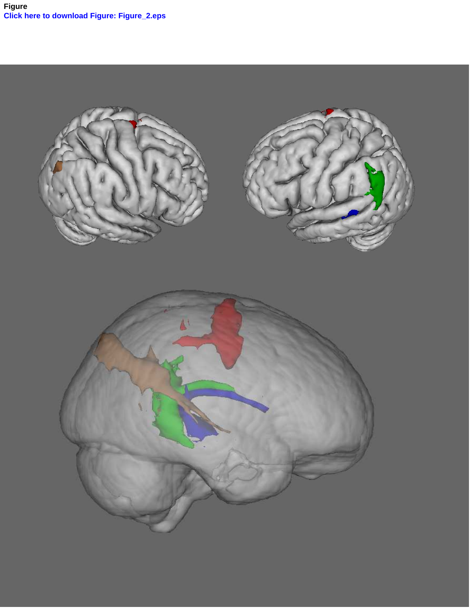